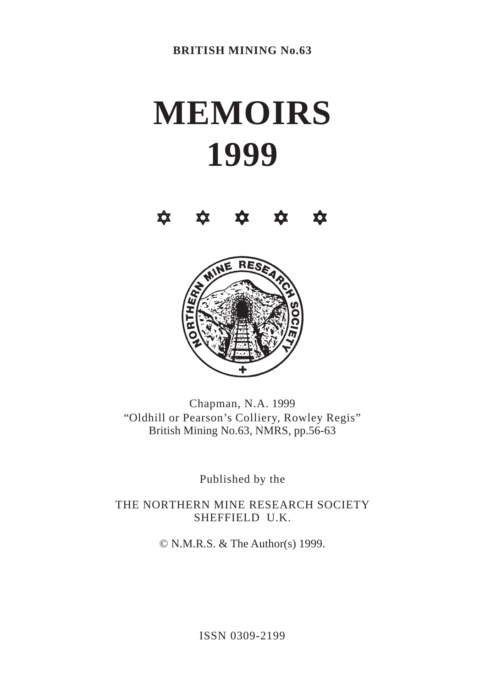# **MEMOIRS 1999**





Chapman, N.A. 1999 "Oldhill or Pearson's Colliery, Rowley Regis" British Mining No.63, NMRS, pp.56-63

Published by the

THE NORTHERN MINE RESEARCH SOCIETY SHEFFIELD U.K.

© N.M.R.S. & The Author(s) 1999.

ISSN 0309-2199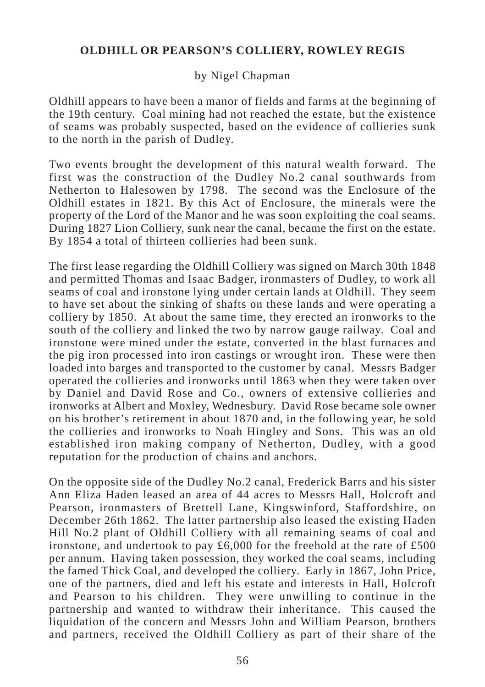### by Nigel Chapman

Oldhill appears to have been a manor of fields and farms at the beginning of the 19th century. Coal mining had not reached the estate, but the existence of seams was probably suspected, based on the evidence of collieries sunk to the north in the parish of Dudley.

Two events brought the development of this natural wealth forward. The first was the construction of the Dudley No.2 canal southwards from Netherton to Halesowen by 1798. The second was the Enclosure of the Oldhill estates in 1821. By this Act of Enclosure, the minerals were the property of the Lord of the Manor and he was soon exploiting the coal seams. During 1827 Lion Colliery, sunk near the canal, became the first on the estate. By 1854 a total of thirteen collieries had been sunk.

The first lease regarding the Oldhill Colliery was signed on March 30th 1848 and permitted Thomas and Isaac Badger, ironmasters of Dudley, to work all seams of coal and ironstone lying under certain lands at Oldhill. They seem to have set about the sinking of shafts on these lands and were operating a colliery by 1850. At about the same time, they erected an ironworks to the south of the colliery and linked the two by narrow gauge railway. Coal and ironstone were mined under the estate, converted in the blast furnaces and the pig iron processed into iron castings or wrought iron. These were then loaded into barges and transported to the customer by canal. Messrs Badger operated the collieries and ironworks until 1863 when they were taken over by Daniel and David Rose and Co., owners of extensive collieries and ironworks at Albert and Moxley, Wednesbury. David Rose became sole owner on his brother's retirement in about 1870 and, in the following year, he sold the collieries and ironworks to Noah Hingley and Sons. This was an old established iron making company of Netherton, Dudley, with a good reputation for the production of chains and anchors.

On the opposite side of the Dudley No.2 canal, Frederick Barrs and his sister Ann Eliza Haden leased an area of 44 acres to Messrs Hall, Holcroft and Pearson, ironmasters of Brettell Lane, Kingswinford, Staffordshire, on December 26th 1862. The latter partnership also leased the existing Haden Hill No.2 plant of Oldhill Colliery with all remaining seams of coal and ironstone, and undertook to pay £6,000 for the freehold at the rate of £500 per annum. Having taken possession, they worked the coal seams, including the famed Thick Coal, and developed the colliery. Early in 1867, John Price, one of the partners, died and left his estate and interests in Hall, Holcroft and Pearson to his children. They were unwilling to continue in the partnership and wanted to withdraw their inheritance. This caused the liquidation of the concern and Messrs John and William Pearson, brothers and partners, received the Oldhill Colliery as part of their share of the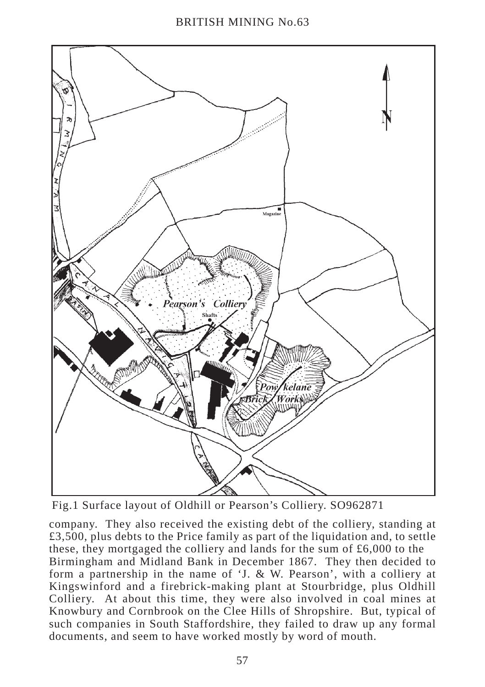

Fig.1 Surface layout of Oldhill or Pearson's Colliery. SO962871

company. They also received the existing debt of the colliery, standing at  $£3,500$ , plus debts to the Price family as part of the liquidation and, to settle these, they mortgaged the colliery and lands for the sum of £6,000 to the Birmingham and Midland Bank in December 1867. They then decided to form a partnership in the name of 'J. & W. Pearson', with a colliery at Kingswinford and a firebrick-making plant at Stourbridge, plus Oldhill Colliery. At about this time, they were also involved in coal mines at Knowbury and Cornbrook on the Clee Hills of Shropshire. But, typical of such companies in South Staffordshire, they failed to draw up any formal documents, and seem to have worked mostly by word of mouth.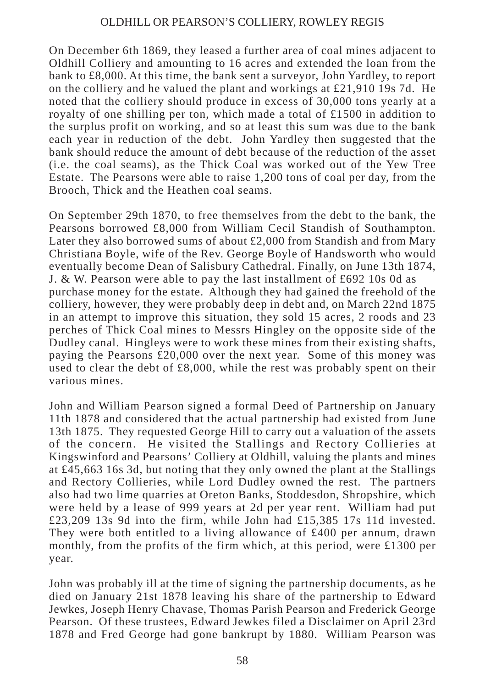On December 6th 1869, they leased a further area of coal mines adjacent to Oldhill Colliery and amounting to 16 acres and extended the loan from the bank to £8,000. At this time, the bank sent a surveyor, John Yardley, to report on the colliery and he valued the plant and workings at £21,910 19s 7d. He noted that the colliery should produce in excess of 30,000 tons yearly at a royalty of one shilling per ton, which made a total of £1500 in addition to the surplus profit on working, and so at least this sum was due to the bank each year in reduction of the debt. John Yardley then suggested that the bank should reduce the amount of debt because of the reduction of the asset (i.e. the coal seams), as the Thick Coal was worked out of the Yew Tree Estate. The Pearsons were able to raise 1,200 tons of coal per day, from the Brooch, Thick and the Heathen coal seams.

On September 29th 1870, to free themselves from the debt to the bank, the Pearsons borrowed £8,000 from William Cecil Standish of Southampton. Later they also borrowed sums of about £2,000 from Standish and from Mary Christiana Boyle, wife of the Rev. George Boyle of Handsworth who would eventually become Dean of Salisbury Cathedral. Finally, on June 13th 1874, J. & W. Pearson were able to pay the last installment of £692 10s 0d as purchase money for the estate. Although they had gained the freehold of the colliery, however, they were probably deep in debt and, on March 22nd 1875 in an attempt to improve this situation, they sold 15 acres, 2 roods and 23 perches of Thick Coal mines to Messrs Hingley on the opposite side of the Dudley canal. Hingleys were to work these mines from their existing shafts, paying the Pearsons £20,000 over the next year. Some of this money was used to clear the debt of  $\pounds 8,000$ , while the rest was probably spent on their various mines.

John and William Pearson signed a formal Deed of Partnership on January 11th 1878 and considered that the actual partnership had existed from June 13th 1875. They requested George Hill to carry out a valuation of the assets of the concern. He visited the Stallings and Rectory Collieries at Kingswinford and Pearsons' Colliery at Oldhill, valuing the plants and mines at £45,663 16s 3d, but noting that they only owned the plant at the Stallings and Rectory Collieries, while Lord Dudley owned the rest. The partners also had two lime quarries at Oreton Banks, Stoddesdon, Shropshire, which were held by a lease of 999 years at 2d per year rent. William had put £23,209 13s 9d into the firm, while John had £15,385 17s 11d invested. They were both entitled to a living allowance of £400 per annum, drawn monthly, from the profits of the firm which, at this period, were £1300 per year.

John was probably ill at the time of signing the partnership documents, as he died on January 21st 1878 leaving his share of the partnership to Edward Jewkes, Joseph Henry Chavase, Thomas Parish Pearson and Frederick George Pearson. Of these trustees, Edward Jewkes filed a Disclaimer on April 23rd 1878 and Fred George had gone bankrupt by 1880. William Pearson was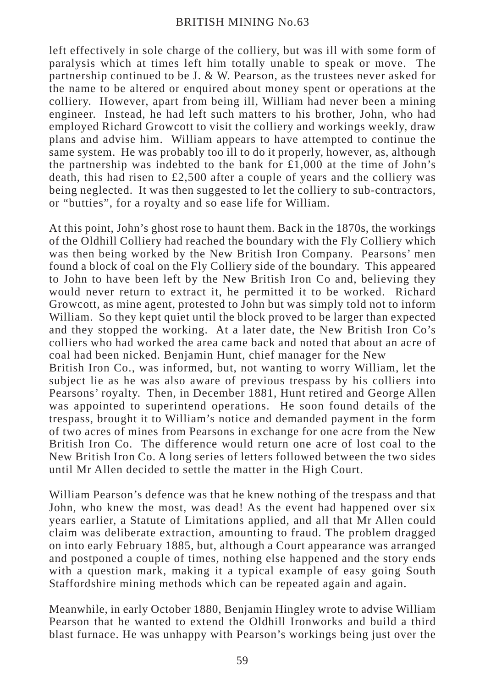left effectively in sole charge of the colliery, but was ill with some form of paralysis which at times left him totally unable to speak or move. The partnership continued to be J. & W. Pearson, as the trustees never asked for the name to be altered or enquired about money spent or operations at the colliery. However, apart from being ill, William had never been a mining engineer. Instead, he had left such matters to his brother, John, who had employed Richard Growcott to visit the colliery and workings weekly, draw plans and advise him. William appears to have attempted to continue the same system. He was probably too ill to do it properly, however, as, although the partnership was indebted to the bank for  $\pounds1,000$  at the time of John's death, this had risen to £2,500 after a couple of years and the colliery was being neglected. It was then suggested to let the colliery to sub-contractors, or "butties", for a royalty and so ease life for William.

At this point, John's ghost rose to haunt them. Back in the 1870s, the workings of the Oldhill Colliery had reached the boundary with the Fly Colliery which was then being worked by the New British Iron Company. Pearsons' men found a block of coal on the Fly Colliery side of the boundary. This appeared to John to have been left by the New British Iron Co and, believing they would never return to extract it, he permitted it to be worked. Richard Growcott, as mine agent, protested to John but was simply told not to inform William. So they kept quiet until the block proved to be larger than expected and they stopped the working. At a later date, the New British Iron Co's colliers who had worked the area came back and noted that about an acre of coal had been nicked. Benjamin Hunt, chief manager for the New

British Iron Co., was informed, but, not wanting to worry William, let the subject lie as he was also aware of previous trespass by his colliers into Pearsons' royalty. Then, in December 1881, Hunt retired and George Allen was appointed to superintend operations. He soon found details of the trespass, brought it to William's notice and demanded payment in the form of two acres of mines from Pearsons in exchange for one acre from the New British Iron Co. The difference would return one acre of lost coal to the New British Iron Co. A long series of letters followed between the two sides until Mr Allen decided to settle the matter in the High Court.

William Pearson's defence was that he knew nothing of the trespass and that John, who knew the most, was dead! As the event had happened over six years earlier, a Statute of Limitations applied, and all that Mr Allen could claim was deliberate extraction, amounting to fraud. The problem dragged on into early February 1885, but, although a Court appearance was arranged and postponed a couple of times, nothing else happened and the story ends with a question mark, making it a typical example of easy going South Staffordshire mining methods which can be repeated again and again.

Meanwhile, in early October 1880, Benjamin Hingley wrote to advise William Pearson that he wanted to extend the Oldhill Ironworks and build a third blast furnace. He was unhappy with Pearson's workings being just over the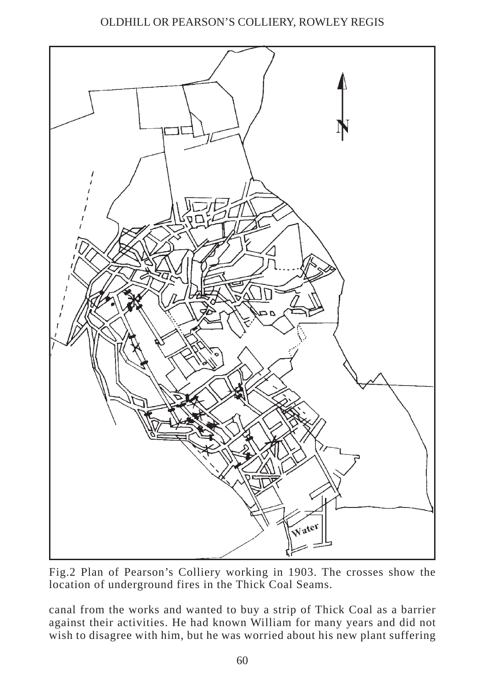

Fig.2 Plan of Pearson's Colliery working in 1903. The crosses show the location of underground fires in the Thick Coal Seams.

canal from the works and wanted to buy a strip of Thick Coal as a barrier against their activities. He had known William for many years and did not wish to disagree with him, but he was worried about his new plant suffering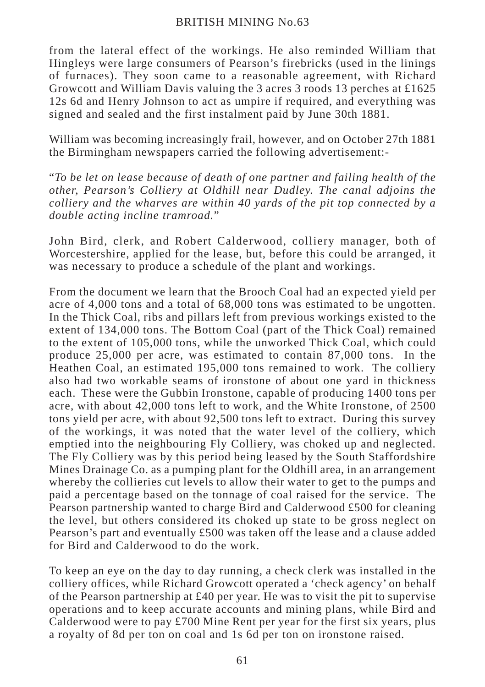from the lateral effect of the workings. He also reminded William that Hingleys were large consumers of Pearson's firebricks (used in the linings of furnaces). They soon came to a reasonable agreement, with Richard Growcott and William Davis valuing the 3 acres 3 roods 13 perches at £1625 12s 6d and Henry Johnson to act as umpire if required, and everything was signed and sealed and the first instalment paid by June 30th 1881.

William was becoming increasingly frail, however, and on October 27th 1881 the Birmingham newspapers carried the following advertisement:-

"*To be let on lease because of death of one partner and failing health of the other, Pearson's Colliery at Oldhill near Dudley. The canal adjoins the colliery and the wharves are within 40 yards of the pit top connected by a double acting incline tramroad.*"

John Bird, clerk, and Robert Calderwood, colliery manager, both of Worcestershire, applied for the lease, but, before this could be arranged, it was necessary to produce a schedule of the plant and workings.

From the document we learn that the Brooch Coal had an expected yield per acre of 4,000 tons and a total of 68,000 tons was estimated to be ungotten. In the Thick Coal, ribs and pillars left from previous workings existed to the extent of 134,000 tons. The Bottom Coal (part of the Thick Coal) remained to the extent of 105,000 tons, while the unworked Thick Coal, which could produce 25,000 per acre, was estimated to contain 87,000 tons. In the Heathen Coal, an estimated 195,000 tons remained to work. The colliery also had two workable seams of ironstone of about one yard in thickness each. These were the Gubbin Ironstone, capable of producing 1400 tons per acre, with about 42,000 tons left to work, and the White Ironstone, of 2500 tons yield per acre, with about 92,500 tons left to extract. During this survey of the workings, it was noted that the water level of the colliery, which emptied into the neighbouring Fly Colliery, was choked up and neglected. The Fly Colliery was by this period being leased by the South Staffordshire Mines Drainage Co. as a pumping plant for the Oldhill area, in an arrangement whereby the collieries cut levels to allow their water to get to the pumps and paid a percentage based on the tonnage of coal raised for the service. The Pearson partnership wanted to charge Bird and Calderwood £500 for cleaning the level, but others considered its choked up state to be gross neglect on Pearson's part and eventually £500 was taken off the lease and a clause added for Bird and Calderwood to do the work.

To keep an eye on the day to day running, a check clerk was installed in the colliery offices, while Richard Growcott operated a 'check agency' on behalf of the Pearson partnership at £40 per year. He was to visit the pit to supervise operations and to keep accurate accounts and mining plans, while Bird and Calderwood were to pay £700 Mine Rent per year for the first six years, plus a royalty of 8d per ton on coal and 1s 6d per ton on ironstone raised.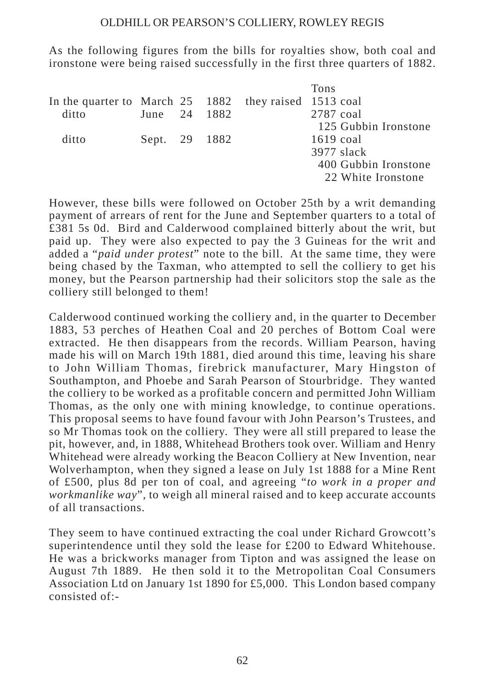As the following figures from the bills for royalties show, both coal and ironstone were being raised successfully in the first three quarters of 1882.

|                                                       |               |  | Tons                 |
|-------------------------------------------------------|---------------|--|----------------------|
| In the quarter to March 25 1882 they raised 1513 coal |               |  |                      |
| ditto                                                 | June 24 1882  |  | 2787 coal            |
|                                                       |               |  | 125 Gubbin Ironstone |
| ditto                                                 | Sept. 29 1882 |  | $1619 \text{ coal}$  |
|                                                       |               |  | $3977$ slack         |
|                                                       |               |  | 400 Gubbin Ironstone |
|                                                       |               |  | 22 White Ironstone   |
|                                                       |               |  |                      |

However, these bills were followed on October 25th by a writ demanding payment of arrears of rent for the June and September quarters to a total of £381 5s 0d. Bird and Calderwood complained bitterly about the writ, but paid up. They were also expected to pay the 3 Guineas for the writ and added a "*paid under protest*" note to the bill. At the same time, they were being chased by the Taxman, who attempted to sell the colliery to get his money, but the Pearson partnership had their solicitors stop the sale as the colliery still belonged to them!

Calderwood continued working the colliery and, in the quarter to December 1883, 53 perches of Heathen Coal and 20 perches of Bottom Coal were extracted. He then disappears from the records. William Pearson, having made his will on March 19th 1881, died around this time, leaving his share to John William Thomas, firebrick manufacturer, Mary Hingston of Southampton, and Phoebe and Sarah Pearson of Stourbridge. They wanted the colliery to be worked as a profitable concern and permitted John William Thomas, as the only one with mining knowledge, to continue operations. This proposal seems to have found favour with John Pearson's Trustees, and so Mr Thomas took on the colliery. They were all still prepared to lease the pit, however, and, in 1888, Whitehead Brothers took over. William and Henry Whitehead were already working the Beacon Colliery at New Invention, near Wolverhampton, when they signed a lease on July 1st 1888 for a Mine Rent of £500, plus 8d per ton of coal, and agreeing "*to work in a proper and workmanlike way*", to weigh all mineral raised and to keep accurate accounts of all transactions.

They seem to have continued extracting the coal under Richard Growcott's superintendence until they sold the lease for £200 to Edward Whitehouse. He was a brickworks manager from Tipton and was assigned the lease on August 7th 1889. He then sold it to the Metropolitan Coal Consumers Association Ltd on January 1st 1890 for £5,000. This London based company consisted of:-